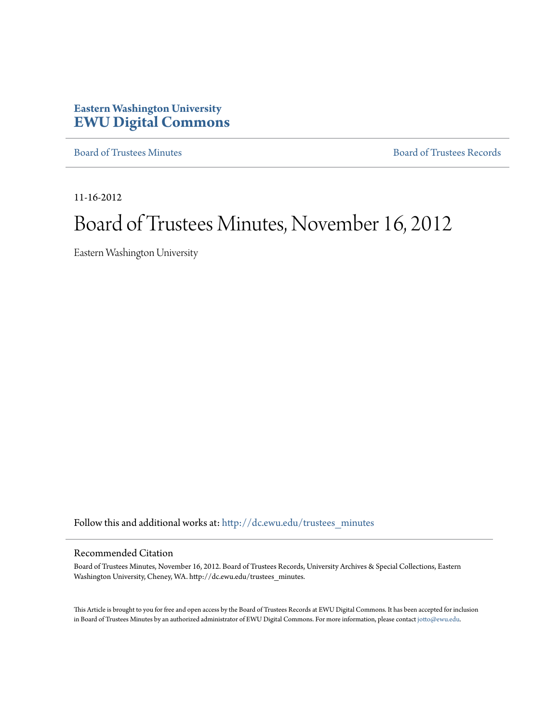# **Eastern Washington University [EWU Digital Commons](http://dc.ewu.edu?utm_source=dc.ewu.edu%2Ftrustees_minutes%2F603&utm_medium=PDF&utm_campaign=PDFCoverPages)**

[Board of Trustees Minutes](http://dc.ewu.edu/trustees_minutes?utm_source=dc.ewu.edu%2Ftrustees_minutes%2F603&utm_medium=PDF&utm_campaign=PDFCoverPages) [Board of Trustees Records](http://dc.ewu.edu/trustees?utm_source=dc.ewu.edu%2Ftrustees_minutes%2F603&utm_medium=PDF&utm_campaign=PDFCoverPages)

11-16-2012

# Board of Trustees Minutes, November 16, 2012

Eastern Washington University

Follow this and additional works at: [http://dc.ewu.edu/trustees\\_minutes](http://dc.ewu.edu/trustees_minutes?utm_source=dc.ewu.edu%2Ftrustees_minutes%2F603&utm_medium=PDF&utm_campaign=PDFCoverPages)

#### Recommended Citation

Board of Trustees Minutes, November 16, 2012. Board of Trustees Records, University Archives & Special Collections, Eastern Washington University, Cheney, WA. http://dc.ewu.edu/trustees\_minutes.

This Article is brought to you for free and open access by the Board of Trustees Records at EWU Digital Commons. It has been accepted for inclusion in Board of Trustees Minutes by an authorized administrator of EWU Digital Commons. For more information, please contact [jotto@ewu.edu.](mailto:jotto@ewu.edu)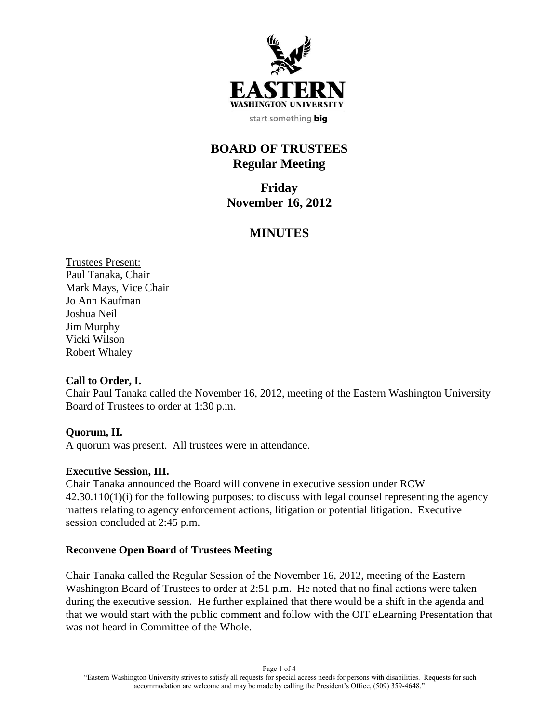

# **BOARD OF TRUSTEES Regular Meeting**

**Friday November 16, 2012**

# **MINUTES**

Trustees Present: Paul Tanaka, Chair Mark Mays, Vice Chair Jo Ann Kaufman Joshua Neil Jim Murphy Vicki Wilson Robert Whaley

#### **Call to Order, I.**

Chair Paul Tanaka called the November 16, 2012, meeting of the Eastern Washington University Board of Trustees to order at 1:30 p.m.

# **Quorum, II.**

A quorum was present. All trustees were in attendance.

#### **Executive Session, III.**

Chair Tanaka announced the Board will convene in executive session under RCW 42.30.110(1)(i) for the following purposes: to discuss with legal counsel representing the agency matters relating to agency enforcement actions, litigation or potential litigation. Executive session concluded at 2:45 p.m.

#### **Reconvene Open Board of Trustees Meeting**

Chair Tanaka called the Regular Session of the November 16, 2012, meeting of the Eastern Washington Board of Trustees to order at 2:51 p.m. He noted that no final actions were taken during the executive session. He further explained that there would be a shift in the agenda and that we would start with the public comment and follow with the OIT eLearning Presentation that was not heard in Committee of the Whole.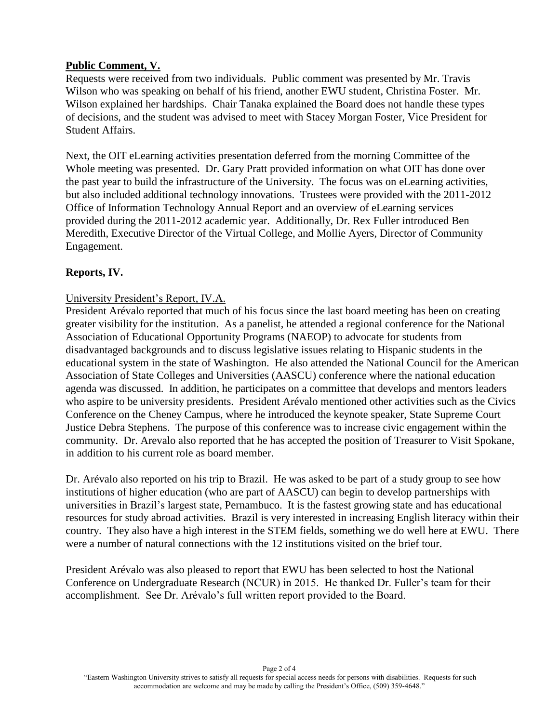# **Public Comment, V.**

Requests were received from two individuals. Public comment was presented by Mr. Travis Wilson who was speaking on behalf of his friend, another EWU student, Christina Foster. Mr. Wilson explained her hardships. Chair Tanaka explained the Board does not handle these types of decisions, and the student was advised to meet with Stacey Morgan Foster, Vice President for Student Affairs.

Next, the OIT eLearning activities presentation deferred from the morning Committee of the Whole meeting was presented. Dr. Gary Pratt provided information on what OIT has done over the past year to build the infrastructure of the University. The focus was on eLearning activities, but also included additional technology innovations. Trustees were provided with the 2011-2012 Office of Information Technology Annual Report and an overview of eLearning services provided during the 2011-2012 academic year. Additionally, Dr. Rex Fuller introduced Ben Meredith, Executive Director of the Virtual College, and Mollie Ayers, Director of Community Engagement.

# **Reports, IV.**

# University President's Report, IV.A.

President Arévalo reported that much of his focus since the last board meeting has been on creating greater visibility for the institution. As a panelist, he attended a regional conference for the National Association of Educational Opportunity Programs (NAEOP) to advocate for students from disadvantaged backgrounds and to discuss legislative issues relating to Hispanic students in the educational system in the state of Washington. He also attended the National Council for the American Association of State Colleges and Universities (AASCU) conference where the national education agenda was discussed. In addition, he participates on a committee that develops and mentors leaders who aspire to be university presidents. President Arévalo mentioned other activities such as the Civics Conference on the Cheney Campus, where he introduced the keynote speaker, State Supreme Court Justice Debra Stephens. The purpose of this conference was to increase civic engagement within the community. Dr. Arevalo also reported that he has accepted the position of Treasurer to Visit Spokane, in addition to his current role as board member.

Dr. Arévalo also reported on his trip to Brazil. He was asked to be part of a study group to see how institutions of higher education (who are part of AASCU) can begin to develop partnerships with universities in Brazil's largest state, Pernambuco. It is the fastest growing state and has educational resources for study abroad activities. Brazil is very interested in increasing English literacy within their country. They also have a high interest in the STEM fields, something we do well here at EWU. There were a number of natural connections with the 12 institutions visited on the brief tour.

President Arévalo was also pleased to report that EWU has been selected to host the National Conference on Undergraduate Research (NCUR) in 2015. He thanked Dr. Fuller's team for their accomplishment. See Dr. Arévalo's full written report provided to the Board.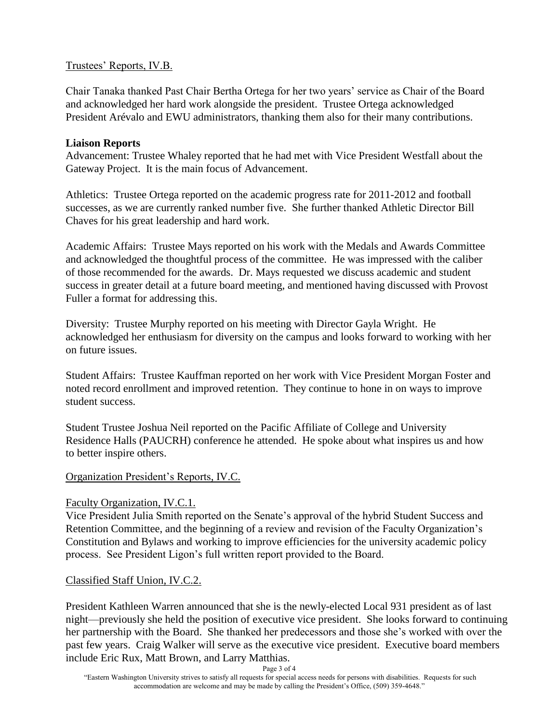#### Trustees' Reports, IV.B.

Chair Tanaka thanked Past Chair Bertha Ortega for her two years' service as Chair of the Board and acknowledged her hard work alongside the president. Trustee Ortega acknowledged President Arévalo and EWU administrators, thanking them also for their many contributions.

#### **Liaison Reports**

Advancement: Trustee Whaley reported that he had met with Vice President Westfall about the Gateway Project. It is the main focus of Advancement.

Athletics: Trustee Ortega reported on the academic progress rate for 2011-2012 and football successes, as we are currently ranked number five. She further thanked Athletic Director Bill Chaves for his great leadership and hard work.

Academic Affairs: Trustee Mays reported on his work with the Medals and Awards Committee and acknowledged the thoughtful process of the committee. He was impressed with the caliber of those recommended for the awards. Dr. Mays requested we discuss academic and student success in greater detail at a future board meeting, and mentioned having discussed with Provost Fuller a format for addressing this.

Diversity: Trustee Murphy reported on his meeting with Director Gayla Wright. He acknowledged her enthusiasm for diversity on the campus and looks forward to working with her on future issues.

Student Affairs: Trustee Kauffman reported on her work with Vice President Morgan Foster and noted record enrollment and improved retention. They continue to hone in on ways to improve student success.

Student Trustee Joshua Neil reported on the Pacific Affiliate of College and University Residence Halls (PAUCRH) conference he attended. He spoke about what inspires us and how to better inspire others.

# Organization President's Reports, IV.C.

#### Faculty Organization, IV.C.1.

Vice President Julia Smith reported on the Senate's approval of the hybrid Student Success and Retention Committee, and the beginning of a review and revision of the Faculty Organization's Constitution and Bylaws and working to improve efficiencies for the university academic policy process. See President Ligon's full written report provided to the Board.

# Classified Staff Union, IV.C.2.

President Kathleen Warren announced that she is the newly-elected Local 931 president as of last night—previously she held the position of executive vice president. She looks forward to continuing her partnership with the Board. She thanked her predecessors and those she's worked with over the past few years. Craig Walker will serve as the executive vice president. Executive board members include Eric Rux, Matt Brown, and Larry Matthias.

Page 3 of 4